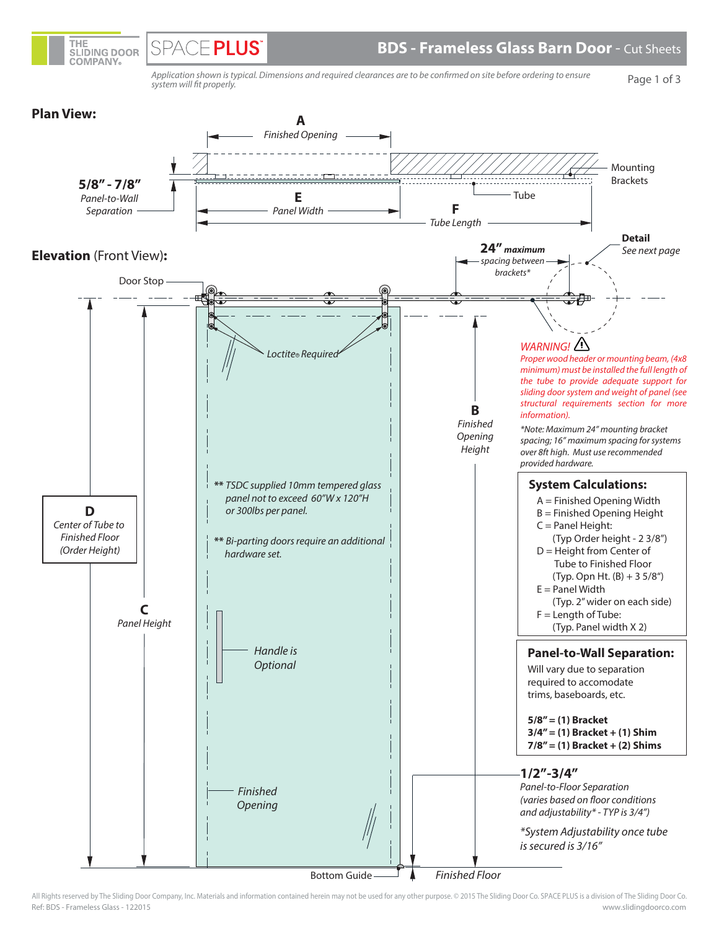

Application shown is typical. Dimensions and required clearances are to be confirmed on site before ordering to ensure system will fit properly.

THE

**SLIDING DOOR COMPANY** 

**SPACE PLUS** 

Page 1 of 3



Ref: BDS - Frameless Glass - 122015 www.slidingdoorco.com All Rights reserved by The Sliding Door Company, Inc. Materials and information contained herein may not be used for any other purpose. © 2015 The Sliding Door Co. SPACE PLUS is a division of The Sliding Door Co.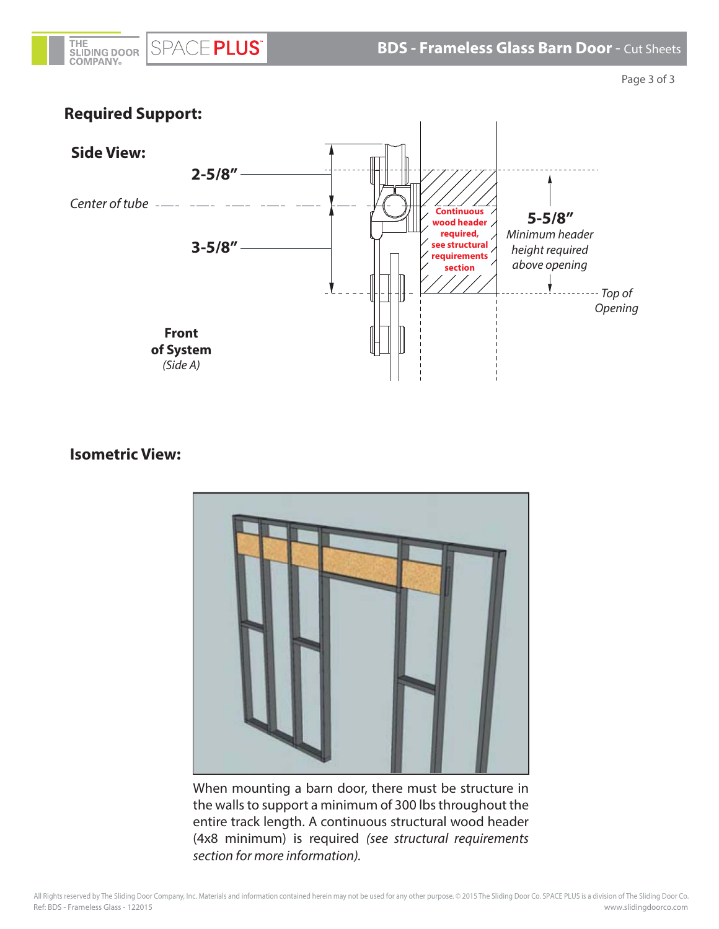

Page 3 of 3



## **Isometric View:**



When mounting a barn door, there must be structure in the walls to support a minimum of 300 lbs throughout the entire track length. A continuous structural wood header (4x8 minimum) is required (see structural requirements section for more information).